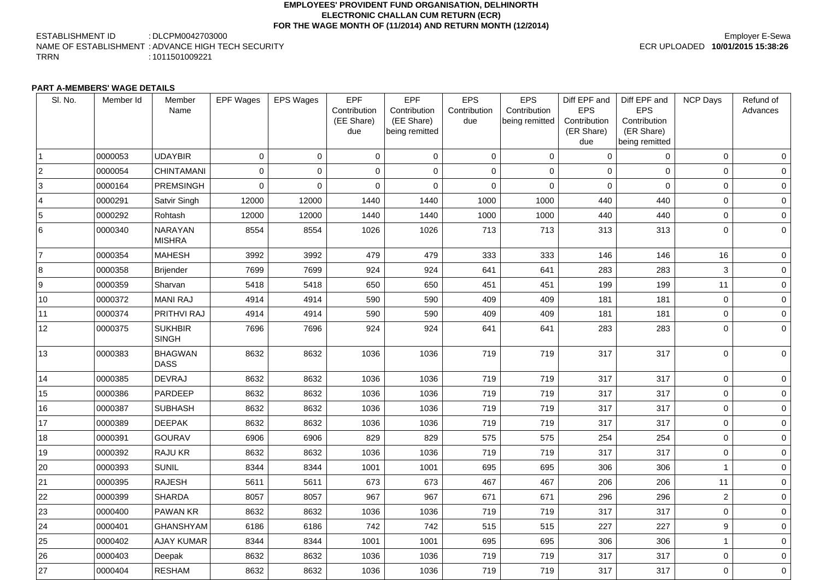### **EMPLOYEES' PROVIDENT FUND ORGANISATION, DELHINORTH ELECTRONIC CHALLAN CUM RETURN (ECR) FOR THE WAGE MONTH OF (11/2014) AND RETURN MONTH (12/2014)**

ESTABLISHMENT ID : DLCPM0042703000 NAME OF ESTABLISHMENT : ADVANCE HIGH TECH SECURITY TRRN : 1011501009221

## Employer E-Sewa ECR UPLOADED **10/01/2015 15:38:26**

### **PART A-MEMBERS' WAGE DETAILS**

| SI. No.        | Member Id | Member<br>Name                  | <b>EPF Wages</b> | <b>EPS Wages</b> | <b>EPF</b><br>Contribution<br>(EE Share)<br>due | <b>EPF</b><br>Contribution<br>(EE Share)<br>being remitted | <b>EPS</b><br>Contribution<br>due | <b>EPS</b><br>Contribution<br>being remitted | Diff EPF and<br><b>EPS</b><br>Contribution<br>(ER Share)<br>due | Diff EPF and<br><b>EPS</b><br>Contribution<br>(ER Share)<br>being remitted | <b>NCP Days</b> | Refund of<br>Advances |
|----------------|-----------|---------------------------------|------------------|------------------|-------------------------------------------------|------------------------------------------------------------|-----------------------------------|----------------------------------------------|-----------------------------------------------------------------|----------------------------------------------------------------------------|-----------------|-----------------------|
|                | 0000053   | <b>UDAYBIR</b>                  | 0                | $\mathbf 0$      | $\Omega$                                        | $\overline{0}$                                             | $\overline{0}$                    | $\overline{0}$                               | 0                                                               | $\mathbf 0$                                                                | $\overline{0}$  | $\overline{0}$        |
| $\overline{2}$ | 0000054   | <b>CHINTAMANI</b>               | 0                | $\overline{0}$   | $\overline{0}$                                  | $\overline{0}$                                             | $\overline{0}$                    | $\overline{0}$                               | $\overline{0}$                                                  | $\overline{0}$                                                             | $\overline{0}$  | $\overline{0}$        |
| 3              | 0000164   | <b>PREMSINGH</b>                | $\mathbf 0$      | $\mathbf 0$      | $\overline{0}$                                  | $\overline{0}$                                             | $\overline{0}$                    | $\overline{0}$                               | $\Omega$                                                        | $\overline{0}$                                                             | $\overline{0}$  | $\overline{0}$        |
| $\overline{4}$ | 0000291   | Satvir Singh                    | 12000            | 12000            | 1440                                            | 1440                                                       | 1000                              | 1000                                         | 440                                                             | 440                                                                        | $\overline{0}$  | $\overline{0}$        |
| 5              | 0000292   | Rohtash                         | 12000            | 12000            | 1440                                            | 1440                                                       | 1000                              | 1000                                         | 440                                                             | 440                                                                        | $\overline{0}$  | $\overline{0}$        |
| 6              | 0000340   | <b>NARAYAN</b><br><b>MISHRA</b> | 8554             | 8554             | 1026                                            | 1026                                                       | 713                               | 713                                          | 313                                                             | 313                                                                        | $\overline{0}$  | $\overline{0}$        |
| 17             | 0000354   | <b>MAHESH</b>                   | 3992             | 3992             | 479                                             | 479                                                        | 333                               | 333                                          | 146                                                             | 146                                                                        | 16              | $\overline{0}$        |
| 8              | 0000358   | Brijender                       | 7699             | 7699             | 924                                             | 924                                                        | 641                               | 641                                          | 283                                                             | 283                                                                        | 3               | $\mathbf 0$           |
| <u>g</u>       | 0000359   | Sharvan                         | 5418             | 5418             | 650                                             | 650                                                        | 451                               | 451                                          | 199                                                             | 199                                                                        | 11              | $\overline{0}$        |
| 10             | 0000372   | <b>MANI RAJ</b>                 | 4914             | 4914             | 590                                             | 590                                                        | 409                               | 409                                          | 181                                                             | 181                                                                        | $\overline{0}$  | $\overline{0}$        |
| 11             | 0000374   | <b>PRITHVI RAJ</b>              | 4914             | 4914             | 590                                             | 590                                                        | 409                               | 409                                          | 181                                                             | 181                                                                        | $\overline{0}$  | $\overline{0}$        |
| 12             | 0000375   | <b>SUKHBIR</b><br><b>SINGH</b>  | 7696             | 7696             | 924                                             | 924                                                        | 641                               | 641                                          | 283                                                             | 283                                                                        | $\overline{0}$  | $\overline{0}$        |
| 13             | 0000383   | <b>BHAGWAN</b><br><b>DASS</b>   | 8632             | 8632             | 1036                                            | 1036                                                       | 719                               | 719                                          | 317                                                             | 317                                                                        | $\overline{0}$  | $\overline{0}$        |
| 14             | 0000385   | <b>DEVRAJ</b>                   | 8632             | 8632             | 1036                                            | 1036                                                       | 719                               | 719                                          | 317                                                             | 317                                                                        | $\overline{0}$  | $\overline{0}$        |
| 15             | 0000386   | PARDEEP                         | 8632             | 8632             | 1036                                            | 1036                                                       | 719                               | 719                                          | 317                                                             | 317                                                                        | $\mathbf 0$     | $\overline{0}$        |
| 16             | 0000387   | <b>SUBHASH</b>                  | 8632             | 8632             | 1036                                            | 1036                                                       | 719                               | 719                                          | 317                                                             | 317                                                                        | $\overline{0}$  | $\overline{0}$        |
| 17             | 0000389   | <b>DEEPAK</b>                   | 8632             | 8632             | 1036                                            | 1036                                                       | 719                               | 719                                          | 317                                                             | 317                                                                        | $\overline{0}$  | 0                     |
| 18             | 0000391   | <b>GOURAV</b>                   | 6906             | 6906             | 829                                             | 829                                                        | 575                               | 575                                          | 254                                                             | 254                                                                        | $\overline{0}$  | $\overline{0}$        |
| 19             | 0000392   | <b>RAJU KR</b>                  | 8632             | 8632             | 1036                                            | 1036                                                       | 719                               | 719                                          | 317                                                             | 317                                                                        | $\overline{0}$  | 0                     |
| 20             | 0000393   | <b>SUNIL</b>                    | 8344             | 8344             | 1001                                            | 1001                                                       | 695                               | 695                                          | 306                                                             | 306                                                                        | 1               | $\overline{0}$        |
| 21             | 0000395   | RAJESH                          | 5611             | 5611             | 673                                             | 673                                                        | 467                               | 467                                          | 206                                                             | 206                                                                        | 11              | $\overline{0}$        |
| 22             | 0000399   | <b>SHARDA</b>                   | 8057             | 8057             | 967                                             | 967                                                        | 671                               | 671                                          | 296                                                             | 296                                                                        | $\overline{2}$  | 0                     |
| 23             | 0000400   | <b>PAWAN KR</b>                 | 8632             | 8632             | 1036                                            | 1036                                                       | 719                               | 719                                          | 317                                                             | 317                                                                        | $\overline{0}$  | 0                     |
| 24             | 0000401   | <b>GHANSHYAM</b>                | 6186             | 6186             | 742                                             | 742                                                        | 515                               | 515                                          | 227                                                             | 227                                                                        | 9               | 0                     |
| 25             | 0000402   | <b>AJAY KUMAR</b>               | 8344             | 8344             | 1001                                            | 1001                                                       | 695                               | 695                                          | 306                                                             | 306                                                                        | 1               | $\overline{0}$        |
| 26             | 0000403   | Deepak                          | 8632             | 8632             | 1036                                            | 1036                                                       | 719                               | 719                                          | 317                                                             | 317                                                                        | $\overline{0}$  | $\overline{0}$        |
| 27             | 0000404   | <b>RESHAM</b>                   | 8632             | 8632             | 1036                                            | 1036                                                       | 719                               | 719                                          | 317                                                             | 317                                                                        | $\overline{0}$  | $\mathbf{0}$          |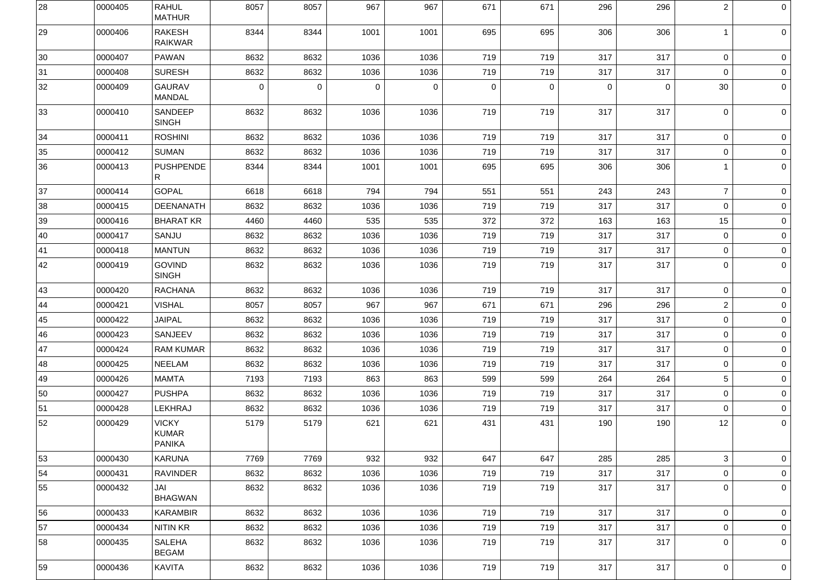| 28           | 0000405 | <b>RAHUL</b><br><b>MATHUR</b>                 | 8057           | 8057           | 967            | 967         | 671         | 671            | 296            | 296         | $\overline{2}$ | $\overline{0}$  |
|--------------|---------|-----------------------------------------------|----------------|----------------|----------------|-------------|-------------|----------------|----------------|-------------|----------------|-----------------|
| 29           | 0000406 | <b>RAKESH</b><br><b>RAIKWAR</b>               | 8344           | 8344           | 1001           | 1001        | 695         | 695            | 306            | 306         |                | $\overline{0}$  |
| $ 30\rangle$ | 0000407 | <b>PAWAN</b>                                  | 8632           | 8632           | 1036           | 1036        | 719         | 719            | 317            | 317         | $\overline{0}$ | $\overline{0}$  |
| 31           | 0000408 | <b>SURESH</b>                                 | 8632           | 8632           | 1036           | 1036        | 719         | 719            | 317            | 317         | $\overline{0}$ | $\circ$         |
| 32           | 0000409 | <b>GAURAV</b><br><b>MANDAL</b>                | $\overline{0}$ | $\overline{0}$ | $\overline{0}$ | $\mathbf 0$ | $\mathbf 0$ | $\overline{0}$ | $\overline{0}$ | $\mathbf 0$ | 30             | $\circ$         |
| 33           | 0000410 | <b>SANDEEP</b><br><b>SINGH</b>                | 8632           | 8632           | 1036           | 1036        | 719         | 719            | 317            | 317         | $\mathbf{0}$   | $\overline{0}$  |
| 34           | 0000411 | <b>ROSHINI</b>                                | 8632           | 8632           | 1036           | 1036        | 719         | 719            | 317            | 317         | $\overline{0}$ | 0 <sup>1</sup>  |
| 35           | 0000412 | <b>SUMAN</b>                                  | 8632           | 8632           | 1036           | 1036        | 719         | 719            | 317            | 317         | $\overline{0}$ | $\circ$         |
| 36           | 0000413 | <b>PUSHPENDE</b><br>R.                        | 8344           | 8344           | 1001           | 1001        | 695         | 695            | 306            | 306         |                | $\overline{0}$  |
| 37           | 0000414 | <b>GOPAL</b>                                  | 6618           | 6618           | 794            | 794         | 551         | 551            | 243            | 243         | $\overline{7}$ | 0 <sup>1</sup>  |
| 38           | 0000415 | <b>DEENANATH</b>                              | 8632           | 8632           | 1036           | 1036        | 719         | 719            | 317            | 317         | $\overline{0}$ | $\overline{0}$  |
| 39           | 0000416 | <b>BHARAT KR</b>                              | 4460           | 4460           | 535            | 535         | 372         | 372            | 163            | 163         | 15             | $\circ$         |
| 40           | 0000417 | SANJU                                         | 8632           | 8632           | 1036           | 1036        | 719         | 719            | 317            | 317         | $\overline{0}$ | $\overline{0}$  |
| 41           | 0000418 | <b>MANTUN</b>                                 | 8632           | 8632           | 1036           | 1036        | 719         | 719            | 317            | 317         | $\overline{0}$ | $\overline{0}$  |
| 42           | 0000419 | <b>GOVIND</b><br><b>SINGH</b>                 | 8632           | 8632           | 1036           | 1036        | 719         | 719            | 317            | 317         | $\overline{0}$ | $\overline{0}$  |
| 43           | 0000420 | <b>RACHANA</b>                                | 8632           | 8632           | 1036           | 1036        | 719         | 719            | 317            | 317         | $\overline{0}$ | $\overline{0}$  |
| 44           | 0000421 | <b>VISHAL</b>                                 | 8057           | 8057           | 967            | 967         | 671         | 671            | 296            | 296         | $\overline{2}$ | $\overline{0}$  |
| 45           | 0000422 | <b>JAIPAL</b>                                 | 8632           | 8632           | 1036           | 1036        | 719         | 719            | 317            | 317         | $\overline{0}$ | $\circ$         |
| 46           | 0000423 | <b>SANJEEV</b>                                | 8632           | 8632           | 1036           | 1036        | 719         | 719            | 317            | 317         | $\overline{0}$ | $\overline{0}$  |
| 47           | 0000424 | <b>RAM KUMAR</b>                              | 8632           | 8632           | 1036           | 1036        | 719         | 719            | 317            | 317         | $\overline{0}$ | $\circ$         |
| 48           | 0000425 | <b>NEELAM</b>                                 | 8632           | 8632           | 1036           | 1036        | 719         | 719            | 317            | 317         | $\overline{0}$ | $\overline{0}$  |
| 49           | 0000426 | <b>MAMTA</b>                                  | 7193           | 7193           | 863            | 863         | 599         | 599            | 264            | 264         | 5 <sup>5</sup> | $\overline{0}$  |
| 50           | 0000427 | <b>PUSHPA</b>                                 | 8632           | 8632           | 1036           | 1036        | 719         | 719            | 317            | 317         | $\overline{0}$ | $\circ$         |
| 51           | 0000428 | <b>LEKHRAJ</b>                                | 8632           | 8632           | 1036           | 1036        | 719         | 719            | 317            | 317         | $\overline{0}$ | $\circ$         |
| 52           | 0000429 | <b>VICKY</b><br><b>KUMAR</b><br><b>PANIKA</b> | 5179           | 5179           | 621            | 621         | 431         | 431            | 190            | 190         | 12             | $\overline{0}$  |
| 53           | 0000430 | <b>KARUNA</b>                                 | 7769           | 7769           | 932            | 932         | 647         | 647            | 285            | 285         | 3 <sup>1</sup> | 0 <sup>1</sup>  |
| 54           | 0000431 | <b>RAVINDER</b>                               | 8632           | 8632           | 1036           | 1036        | 719         | 719            | 317            | 317         | $\overline{0}$ | $\circ$         |
| 55           | 0000432 | JAI<br><b>BHAGWAN</b>                         | 8632           | 8632           | 1036           | 1036        | 719         | 719            | 317            | 317         | $\mathbf{0}$   | $\overline{0}$  |
| 56           | 0000433 | <b>KARAMBIR</b>                               | 8632           | 8632           | 1036           | 1036        | 719         | 719            | 317            | 317         | $\overline{0}$ | $\circ$         |
| 57           | 0000434 | <b>NITIN KR</b>                               | 8632           | 8632           | 1036           | 1036        | 719         | 719            | 317            | 317         | $\overline{0}$ | $\circ$         |
| 58           | 0000435 | <b>SALEHA</b><br><b>BEGAM</b>                 | 8632           | 8632           | 1036           | 1036        | 719         | 719            | 317            | 317         | $\mathbf 0$    | $\vert 0 \vert$ |
| 59           | 0000436 | <b>KAVITA</b>                                 | 8632           | 8632           | 1036           | 1036        | 719         | 719            | 317            | 317         | $\mathbf 0$    | $\vert 0 \vert$ |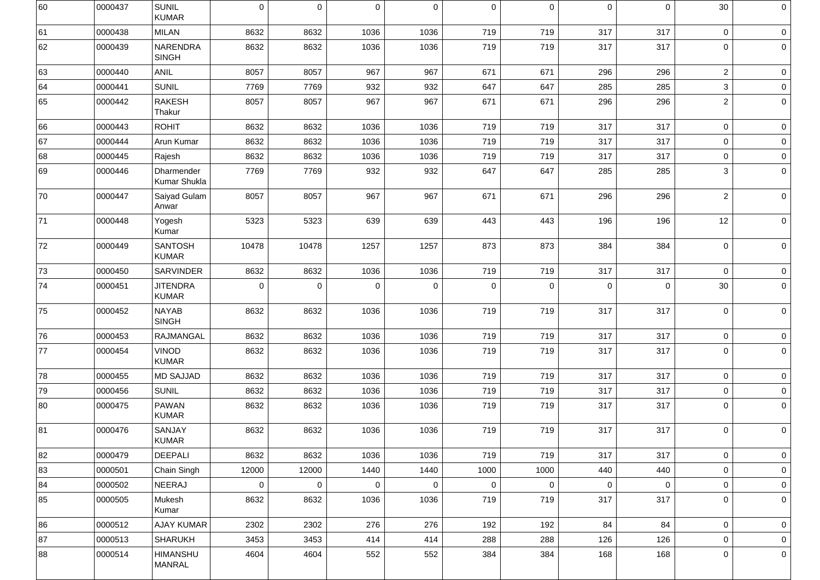| 60 | 0000437 | <b>SUNIL</b><br><b>KUMAR</b>     | 0              | $\overline{0}$ | $\mathbf 0$    | $\mathbf 0$ | $\mathbf 0$    | $\mathbf 0$    | $\overline{0}$ | $\mathbf 0$ | 30             | $\overline{0}$  |
|----|---------|----------------------------------|----------------|----------------|----------------|-------------|----------------|----------------|----------------|-------------|----------------|-----------------|
| 61 | 0000438 | <b>MILAN</b>                     | 8632           | 8632           | 1036           | 1036        | 719            | 719            | 317            | 317         | $\overline{0}$ | $\overline{0}$  |
| 62 | 0000439 | NARENDRA<br><b>SINGH</b>         | 8632           | 8632           | 1036           | 1036        | 719            | 719            | 317            | 317         | $\mathbf 0$    | $\overline{0}$  |
| 63 | 0000440 | <b>ANIL</b>                      | 8057           | 8057           | 967            | 967         | 671            | 671            | 296            | 296         | $\overline{2}$ | $\overline{0}$  |
| 64 | 0000441 | <b>SUNIL</b>                     | 7769           | 7769           | 932            | 932         | 647            | 647            | 285            | 285         | 3              | $\overline{0}$  |
| 65 | 0000442 | <b>RAKESH</b><br>Thakur          | 8057           | 8057           | 967            | 967         | 671            | 671            | 296            | 296         | $\overline{2}$ | 0 <sup>1</sup>  |
| 66 | 0000443 | <b>ROHIT</b>                     | 8632           | 8632           | 1036           | 1036        | 719            | 719            | 317            | 317         | $\overline{0}$ | $\overline{0}$  |
| 67 | 0000444 | Arun Kumar                       | 8632           | 8632           | 1036           | 1036        | 719            | 719            | 317            | 317         | $\overline{0}$ | $\overline{0}$  |
| 68 | 0000445 | Rajesh                           | 8632           | 8632           | 1036           | 1036        | 719            | 719            | 317            | 317         | $\overline{0}$ | $\vert 0 \vert$ |
| 69 | 0000446 | Dharmender<br>Kumar Shukla       | 7769           | 7769           | 932            | 932         | 647            | 647            | 285            | 285         | 3              | $\overline{0}$  |
| 70 | 0000447 | Saiyad Gulam<br>Anwar            | 8057           | 8057           | 967            | 967         | 671            | 671            | 296            | 296         | $\overline{2}$ | $\circ$         |
| 71 | 0000448 | Yogesh<br>Kumar                  | 5323           | 5323           | 639            | 639         | 443            | 443            | 196            | 196         | 12             | $\overline{0}$  |
| 72 | 0000449 | <b>SANTOSH</b><br><b>KUMAR</b>   | 10478          | 10478          | 1257           | 1257        | 873            | 873            | 384            | 384         | $\mathbf{0}$   | $\overline{0}$  |
| 73 | 0000450 | SARVINDER                        | 8632           | 8632           | 1036           | 1036        | 719            | 719            | 317            | 317         | $\overline{0}$ | $\overline{0}$  |
| 74 | 0000451 | <b>JITENDRA</b><br><b>KUMAR</b>  | $\overline{0}$ | $\mathbf 0$    | $\overline{0}$ | $\mathbf 0$ | $\overline{0}$ | $\overline{0}$ | $\overline{0}$ | $\mathbf 0$ | 30             | $\vert 0 \vert$ |
| 75 | 0000452 | <b>NAYAB</b><br><b>SINGH</b>     | 8632           | 8632           | 1036           | 1036        | 719            | 719            | 317            | 317         | $\overline{0}$ | 0               |
| 76 | 0000453 | <b>RAJMANGAL</b>                 | 8632           | 8632           | 1036           | 1036        | 719            | 719            | 317            | 317         | $\overline{0}$ | $\overline{0}$  |
| 77 | 0000454 | <b>VINOD</b><br><b>KUMAR</b>     | 8632           | 8632           | 1036           | 1036        | 719            | 719            | 317            | 317         | $\mathbf 0$    | $\circ$         |
| 78 | 0000455 | <b>MD SAJJAD</b>                 | 8632           | 8632           | 1036           | 1036        | 719            | 719            | 317            | 317         | $\overline{0}$ | $\circ$         |
| 79 | 0000456 | <b>SUNIL</b>                     | 8632           | 8632           | 1036           | 1036        | 719            | 719            | 317            | 317         | $\overline{0}$ | $\overline{0}$  |
| 80 | 0000475 | <b>PAWAN</b><br><b>KUMAR</b>     | 8632           | 8632           | 1036           | 1036        | 719            | 719            | 317            | 317         | $\mathbf 0$    | $\circ$         |
| 81 | 0000476 | <b>SANJAY</b><br><b>KUMAR</b>    | 8632           | 8632           | 1036           | 1036        | 719            | 719            | 317            | 317         | $\mathbf{0}$   | $\circ$         |
| 82 | 0000479 | <b>DEEPALI</b>                   | 8632           | 8632           | 1036           | 1036        | 719            | 719            | 317            | 317         | $\overline{0}$ | $\vert 0 \vert$ |
| 83 | 0000501 | Chain Singh                      | 12000          | 12000          | 1440           | 1440        | 1000           | 1000           | 440            | 440         | $\overline{0}$ | $\overline{0}$  |
| 84 | 0000502 | NEERAJ                           | $\mathbf 0$    | $\overline{0}$ | $\overline{0}$ | $\mathbf 0$ | $\overline{0}$ | $\overline{0}$ | $\overline{0}$ | $\mathbf 0$ | $\overline{0}$ | $\overline{0}$  |
| 85 | 0000505 | Mukesh<br>Kumar                  | 8632           | 8632           | 1036           | 1036        | 719            | 719            | 317            | 317         | $\overline{0}$ | $\vert 0 \vert$ |
| 86 | 0000512 | <b>AJAY KUMAR</b>                | 2302           | 2302           | 276            | 276         | 192            | 192            | 84             | 84          | $\overline{0}$ | $\vert 0 \vert$ |
| 87 | 0000513 | <b>SHARUKH</b>                   | 3453           | 3453           | 414            | 414         | 288            | 288            | 126            | 126         | $\overline{0}$ | $\overline{0}$  |
| 88 | 0000514 | <b>HIMANSHU</b><br><b>MANRAL</b> | 4604           | 4604           | 552            | 552         | 384            | 384            | 168            | 168         | $\mathbf{0}$   | $\circ$         |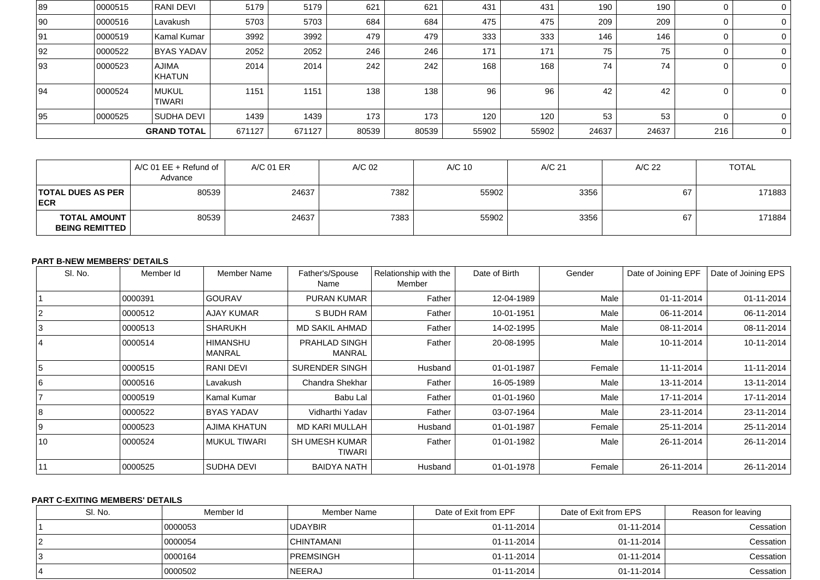| 89 | 0000515 | <b>RANI DEVI</b>       | 5179   | 5179   | 621   | 621   | 431   | 431   | 190   | 190   |     | $\overline{0}$ |
|----|---------|------------------------|--------|--------|-------|-------|-------|-------|-------|-------|-----|----------------|
| 90 | 0000516 | Lavakush               | 5703   | 5703   | 684   | 684   | 475   | 475   | 209   | 209   |     | $\overline{0}$ |
| 91 | 0000519 | Kamal Kumar            | 3992   | 3992   | 479   | 479   | 333   | 333   | 146   | 146   |     | $\overline{0}$ |
| 92 | 0000522 | <b>BYAS YADAV</b>      | 2052   | 2052   | 246   | 246   | 171   | 171   | 75    | 75    |     | $\overline{0}$ |
| 93 | 0000523 | <b>AJIMA</b><br>KHATUN | 2014   | 2014   | 242   | 242   | 168   | 168   | 74    | 74    |     | $\overline{0}$ |
| 94 | 0000524 | MUKUL<br><b>TIWARI</b> | 1151   | 1151   | 138   | 138   | 96    | 96    | 42    | 42    |     | $\overline{0}$ |
| 95 | 0000525 | SUDHA DEVI             | 1439   | 1439   | 173   | 173   | 120   | 120   | 53    | 53    |     | $\overline{0}$ |
|    |         | <b>GRAND TOTAL</b>     | 671127 | 671127 | 80539 | 80539 | 55902 | 55902 | 24637 | 24637 | 216 | $\overline{0}$ |

|                                                | $\vert$ A/C 01 EE + Refund of $\vert$<br>Advance | A/C 01 ER | A/C 02 | A/C 10 | A/C 21 | A/C 22 | <b>TOTAL</b> |
|------------------------------------------------|--------------------------------------------------|-----------|--------|--------|--------|--------|--------------|
| <b>TOTAL DUES AS PER</b><br><b>ECR</b>         | 80539                                            | 24637     | 7382   | 55902  | 3356   | 67     | 171883       |
| <b>TOTAL AMOUNT  </b><br><b>BEING REMITTED</b> | 80539                                            | 24637     | 7383   | 55902  | 3356   | 67     | 171884       |

# **PART B-NEW MEMBERS' DETAILS**

| SI. No. | Member Id | <b>Member Name</b>               | Father's/Spouse<br>Name                | Relationship with the<br>Member | Date of Birth | Gender | Date of Joining EPF | Date of Joining EPS |
|---------|-----------|----------------------------------|----------------------------------------|---------------------------------|---------------|--------|---------------------|---------------------|
|         | 0000391   | <b>GOURAV</b>                    | <b>PURAN KUMAR</b>                     | Father                          | 12-04-1989    | Male   | 01-11-2014          | 01-11-2014          |
|         | 0000512   | <b>AJAY KUMAR</b>                | S BUDH RAM                             | Father                          | 10-01-1951    | Male   | 06-11-2014          | 06-11-2014          |
| 3       | 0000513   | <b>SHARUKH</b>                   | <b>MD SAKIL AHMAD</b>                  | Father                          | 14-02-1995    | Male   | 08-11-2014          | 08-11-2014          |
|         | 0000514   | <b>HIMANSHU</b><br><b>MANRAL</b> | <b>PRAHLAD SINGH</b><br><b>MANRAL</b>  | Father                          | 20-08-1995    | Male   | 10-11-2014          | 10-11-2014          |
| 5       | 0000515   | <b>RANI DEVI</b>                 | <b>SURENDER SINGH</b>                  | Husband                         | 01-01-1987    | Female | 11-11-2014          | 11-11-2014          |
| 16      | 0000516   | Lavakush                         | Chandra Shekhar                        | Father                          | 16-05-1989    | Male   | 13-11-2014          | 13-11-2014          |
|         | 0000519   | Kamal Kumar                      | Babu Lal                               | Father                          | 01-01-1960    | Male   | 17-11-2014          | 17-11-2014          |
| 8       | 0000522   | <b>BYAS YADAV</b>                | Vidharthi Yadav                        | Father                          | 03-07-1964    | Male   | 23-11-2014          | 23-11-2014          |
| l 9     | 0000523   | <b>AJIMA KHATUN</b>              | <b>MD KARI MULLAH</b>                  | Husband                         | 01-01-1987    | Female | 25-11-2014          | 25-11-2014          |
| 10      | 0000524   | <b>MUKUL TIWARI</b>              | <b>SH UMESH KUMAR</b><br><b>TIWARI</b> | Father                          | 01-01-1982    | Male   | 26-11-2014          | 26-11-2014          |
| 11      | 0000525   | <b>SUDHA DEVI</b>                | <b>BAIDYA NATH</b>                     | Husband                         | 01-01-1978    | Female | 26-11-2014          | 26-11-2014          |

## **PART C-EXITING MEMBERS' DETAILS**

| SI. No. | Member Id | Member Name       | Date of Exit from EPF | Date of Exit from EPS | Reason for leaving |
|---------|-----------|-------------------|-----------------------|-----------------------|--------------------|
|         | 0000053   | <b>UDAYBIR</b>    | $01 - 11 - 2014$      | 01-11-2014            | Cessation          |
|         | 0000054   | <b>CHINTAMANI</b> | $01 - 11 - 2014$      | 01-11-2014            | Cessation          |
|         | 10000164  | PREMSINGH         | $01 - 11 - 2014$      | 01-11-2014            | Cessation          |
|         | 0000502   | NEERAJ            | $01 - 11 - 2014$      | 01-11-2014            | Cessation          |